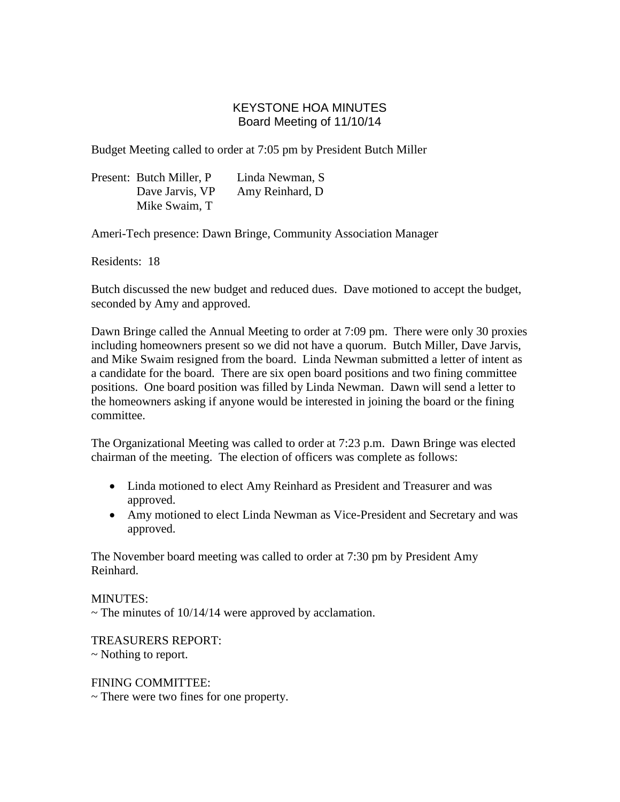# KEYSTONE HOA MINUTES Board Meeting of 11/10/14

Budget Meeting called to order at 7:05 pm by President Butch Miller

| Present: Butch Miller, P. | Linda Newman, S  |
|---------------------------|------------------|
| Dave Jarvis, VP           | Amy Reinhard, D. |
| Mike Swaim, T             |                  |

Ameri-Tech presence: Dawn Bringe, Community Association Manager

Residents: 18

Butch discussed the new budget and reduced dues. Dave motioned to accept the budget, seconded by Amy and approved.

Dawn Bringe called the Annual Meeting to order at 7:09 pm. There were only 30 proxies including homeowners present so we did not have a quorum. Butch Miller, Dave Jarvis, and Mike Swaim resigned from the board. Linda Newman submitted a letter of intent as a candidate for the board. There are six open board positions and two fining committee positions. One board position was filled by Linda Newman. Dawn will send a letter to the homeowners asking if anyone would be interested in joining the board or the fining committee.

The Organizational Meeting was called to order at 7:23 p.m. Dawn Bringe was elected chairman of the meeting. The election of officers was complete as follows:

- Linda motioned to elect Amy Reinhard as President and Treasurer and was approved.
- Amy motioned to elect Linda Newman as Vice-President and Secretary and was approved.

The November board meeting was called to order at 7:30 pm by President Amy Reinhard.

MINUTES:

 $\sim$  The minutes of 10/14/14 were approved by acclamation.

TREASURERS REPORT:

~ Nothing to report.

FINING COMMITTEE:

~ There were two fines for one property.